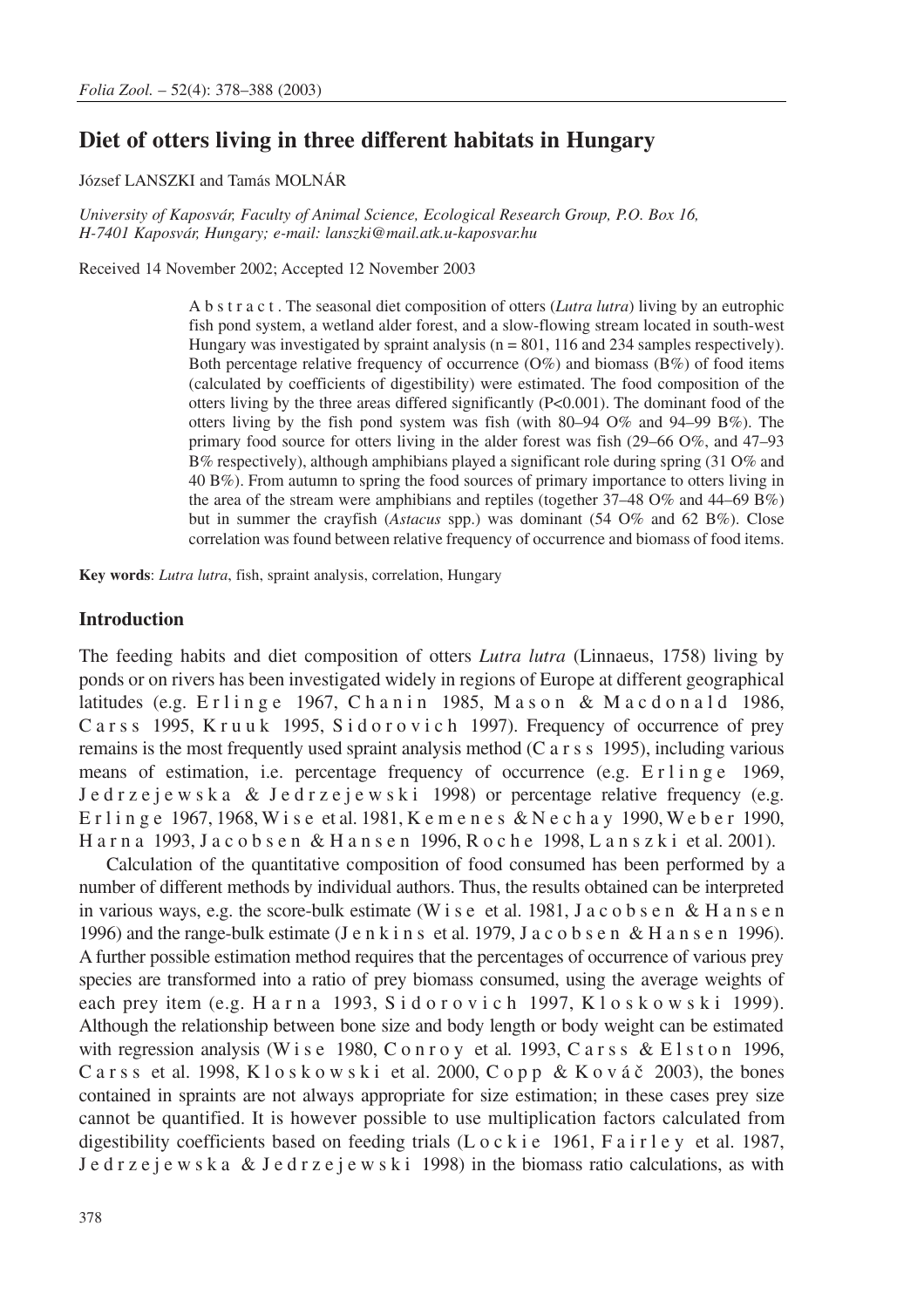# **Diet of otters living in three different habitats in Hungary**

József LANSZKI and Tamás MOLNÁR

*University of Kaposvár, Faculty of Animal Science, Ecological Research Group, P.O. Box 16, H-7401 Kaposvár, Hungary; e-mail: lanszki@mail.atk.u-kaposvar.hu*

Received 14 November 2002; Accepted 12 November 2003

A b s t r a c t . The seasonal diet composition of otters (*Lutra lutra*) living by an eutrophic fish pond system, a wetland alder forest, and a slow-flowing stream located in south-west Hungary was investigated by spraint analysis  $(n = 801, 116, 234)$  samples respectively). Both percentage relative frequency of occurrence  $(O\%)$  and biomass  $(B\%)$  of food items (calculated by coefficients of digestibility) were estimated. The food composition of the otters living by the three areas differed significantly (P<0.001). The dominant food of the otters living by the fish pond system was fish (with  $80-94$  O% and  $94-99$  B%). The primary food source for otters living in the alder forest was fish (29–66 O%, and 47–93 B% respectively), although amphibians played a significant role during spring (31 O% and 40 B%). From autumn to spring the food sources of primary importance to otters living in the area of the stream were amphibians and reptiles (together 37–48 O% and 44–69 B%) but in summer the crayfish (*Astacus* spp.) was dominant (54 O% and 62 B%). Close correlation was found between relative frequency of occurrence and biomass of food items.

**Key words**: *Lutra lutra*, fish, spraint analysis, correlation, Hungary

### **Introduction**

The feeding habits and diet composition of otters *Lutra lutra* (Linnaeus, 1758) living by ponds or on rivers has been investigated widely in regions of Europe at different geographical latitudes (e.g.  $E \, r \, \text{l}$  inge 1967, Chanin 1985, Mason & Macdonald 1986, Carss 1995, Kruuk 1995, Sidorovich 1997). Frequency of occurrence of prey remains is the most frequently used spraint analysis method (C arss 1995), including various means of estimation, i.e. percentage frequency of occurrence (e.g. Erlinge 1969,  $J$  e d r z e j e w s k a  $&$  J e d r z e j e w s k i 1998) or percentage relative frequency (e.g. Erlinge 1967, 1968, W i s e et al. 1981, K e m e n e s & N e c h a y 1990, W eber 1990, Harna 1993, J a c o b s e n & H a n s e n 1996, Roche 1998, L a n s z k i et al. 2001).

Calculation of the quantitative composition of food consumed has been performed by a number of different methods by individual authors. Thus, the results obtained can be interpreted in various ways, e.g. the score-bulk estimate (W i s e et al. 1981, J a c o b s e n & H a n s e n 1996) and the range-bulk estimate (J e n k i n s et al. 1979, J a c o b s e n & H a n s e n 1996). A further possible estimation method requires that the percentages of occurrence of various prey species are transformed into a ratio of prey biomass consumed, using the average weights of each prey item (e.g. Harna 1993, Sidorovich 1997, Kloskowski 1999). Although the relationship between bone size and body length or body weight can be estimated with regression analysis (W i s e 1980, C o n r o y et al. 1993, C a r s s & E l s t o n 1996, C a r s s et al. 1998, K l o s k o w s k i et al. 2000, C o p p & K o v á č 2003), the bones contained in spraints are not always appropriate for size estimation; in these cases prey size cannot be quantified. It is however possible to use multiplication factors calculated from digestibility coefficients based on feeding trials (L  $\circ$  c k i e 1961, F a i r l e y et al. 1987, J e d r z e j e w s k a & J e d r z e j e w s k i 1998) in the biomass ratio calculations, as with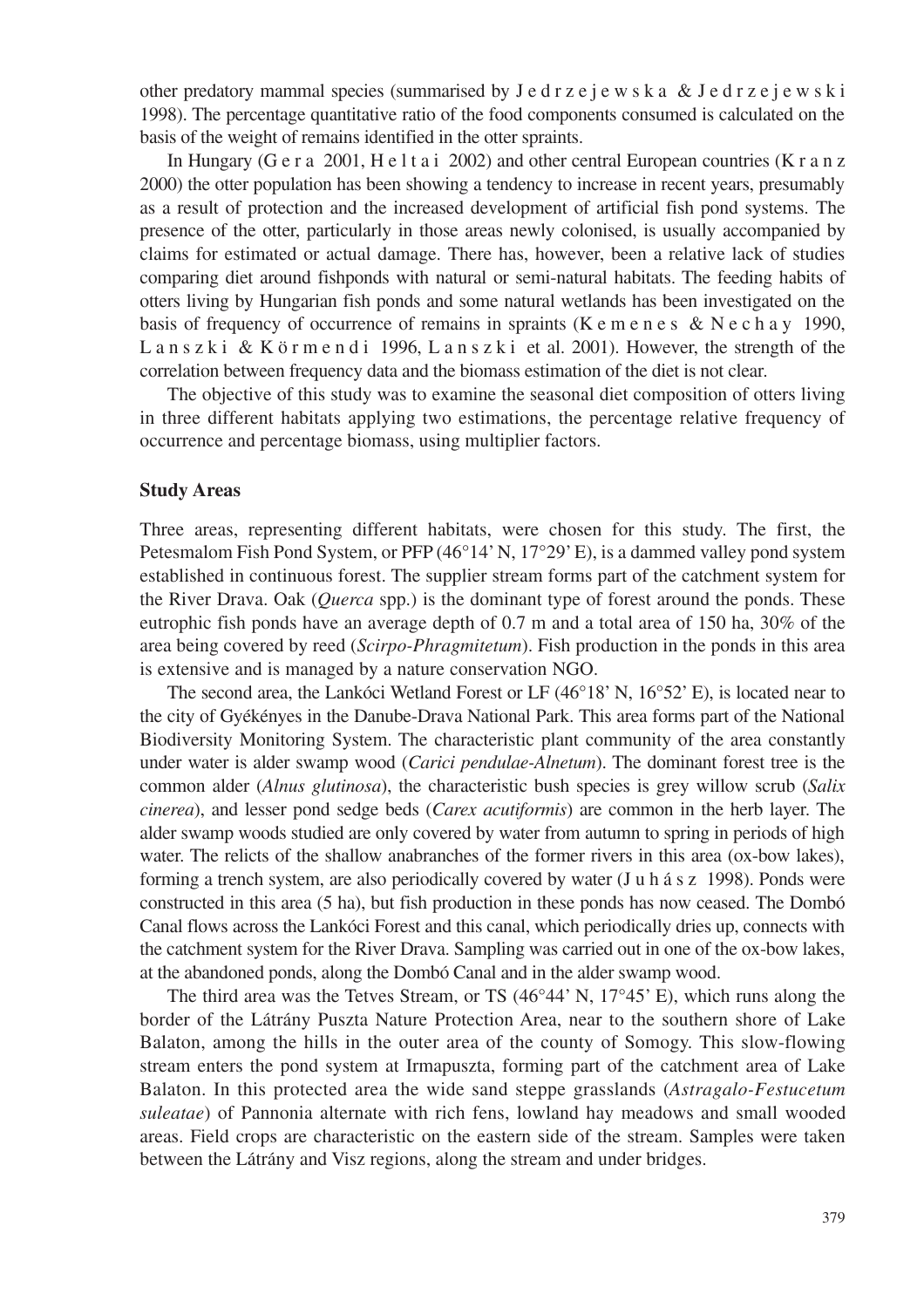other predatory mammal species (summarised by  $J e d r z e j e w s k a \& J e d r z e j e w s k i$ 1998). The percentage quantitative ratio of the food components consumed is calculated on the basis of the weight of remains identified in the otter spraints.

In Hungary (G e r a 2001, H e l t a i 2002) and other central European countries (K r a n z 2000) the otter population has been showing a tendency to increase in recent years, presumably as a result of protection and the increased development of artificial fish pond systems. The presence of the otter, particularly in those areas newly colonised, is usually accompanied by claims for estimated or actual damage. There has, however, been a relative lack of studies comparing diet around fishponds with natural or semi-natural habitats. The feeding habits of otters living by Hungarian fish ponds and some natural wetlands has been investigated on the basis of frequency of occurrence of remains in spraints (K e m e n e s & N e c h a y 1990, L a n s z k i & K ö r m e n d i 1996, L a n s z k i et al. 2001). However, the strength of the correlation between frequency data and the biomass estimation of the diet is not clear.

The objective of this study was to examine the seasonal diet composition of otters living in three different habitats applying two estimations, the percentage relative frequency of occurrence and percentage biomass, using multiplier factors.

## **Study Areas**

Three areas, representing different habitats, were chosen for this study. The first, the Petesmalom Fish Pond System, or PFP (46°14' N, 17°29' E), is a dammed valley pond system established in continuous forest. The supplier stream forms part of the catchment system for the River Drava. Oak (*Querca* spp.) is the dominant type of forest around the ponds. These eutrophic fish ponds have an average depth of 0.7 m and a total area of 150 ha, 30% of the area being covered by reed (*Scirpo-Phragmitetum*). Fish production in the ponds in this area is extensive and is managed by a nature conservation NGO.

The second area, the Lankóci Wetland Forest or LF (46°18' N, 16°52' E), is located near to the city of Gyékényes in the Danube-Drava National Park. This area forms part of the National Biodiversity Monitoring System. The characteristic plant community of the area constantly under water is alder swamp wood (*Carici pendulae-Alnetum*). The dominant forest tree is the common alder (*Alnus glutinosa*), the characteristic bush species is grey willow scrub (*Salix cinerea*), and lesser pond sedge beds (*Carex acutiformis*) are common in the herb layer. The alder swamp woods studied are only covered by water from autumn to spring in periods of high water. The relicts of the shallow anabranches of the former rivers in this area (ox-bow lakes), forming a trench system, are also periodically covered by water (Juhász 1998). Ponds were constructed in this area (5 ha), but fish production in these ponds has now ceased. The Dombó Canal flows across the Lankóci Forest and this canal, which periodically dries up, connects with the catchment system for the River Drava. Sampling was carried out in one of the ox-bow lakes, at the abandoned ponds, along the Dombó Canal and in the alder swamp wood.

The third area was the Tetves Stream, or TS (46°44' N, 17°45' E), which runs along the border of the Látrány Puszta Nature Protection Area, near to the southern shore of Lake Balaton, among the hills in the outer area of the county of Somogy. This slow-flowing stream enters the pond system at Irmapuszta, forming part of the catchment area of Lake Balaton. In this protected area the wide sand steppe grasslands (*Astragalo-Festucetum suleatae*) of Pannonia alternate with rich fens, lowland hay meadows and small wooded areas. Field crops are characteristic on the eastern side of the stream. Samples were taken between the Látrány and Visz regions, along the stream and under bridges.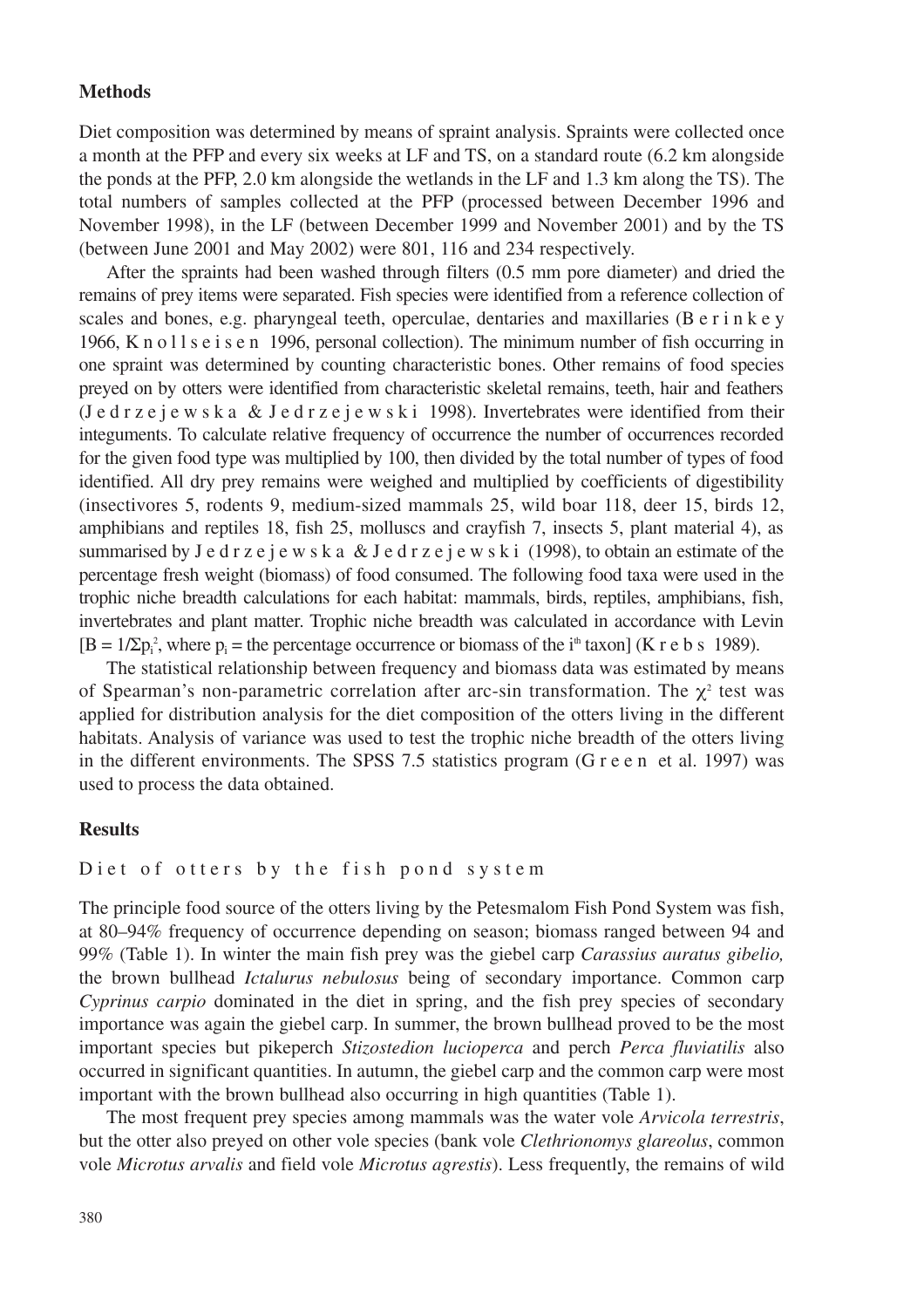### **Methods**

Diet composition was determined by means of spraint analysis. Spraints were collected once a month at the PFP and every six weeks at LF and TS, on a standard route (6.2 km alongside the ponds at the PFP, 2.0 km alongside the wetlands in the LF and 1.3 km along the TS). The total numbers of samples collected at the PFP (processed between December 1996 and November 1998), in the LF (between December 1999 and November 2001) and by the TS (between June 2001 and May 2002) were 801, 116 and 234 respectively.

After the spraints had been washed through filters (0.5 mm pore diameter) and dried the remains of prey items were separated. Fish species were identified from a reference collection of scales and bones, e.g. pharyngeal teeth, operculae, dentaries and maxillaries (B e r i n k e y 1966, Knollseisen 1996, personal collection). The minimum number of fish occurring in one spraint was determined by counting characteristic bones. Other remains of food species preyed on by otters were identified from characteristic skeletal remains, teeth, hair and feathers (J e d r z e j e w s k a & J e d r z e j e w s k i 1998). Invertebrates were identified from their integuments. To calculate relative frequency of occurrence the number of occurrences recorded for the given food type was multiplied by 100, then divided by the total number of types of food identified. All dry prey remains were weighed and multiplied by coefficients of digestibility (insectivores 5, rodents 9, medium-sized mammals 25, wild boar 118, deer 15, birds 12, amphibians and reptiles 18, fish 25, molluscs and crayfish 7, insects 5, plant material 4), as summarised by J e d r z e j e w s k a & J e d r z e j e w s k i (1998), to obtain an estimate of the percentage fresh weight (biomass) of food consumed. The following food taxa were used in the trophic niche breadth calculations for each habitat: mammals, birds, reptiles, amphibians, fish, invertebrates and plant matter. Trophic niche breadth was calculated in accordance with Levin  $[B = 1/\sum p_i^2]$ , where  $p_i$  = the percentage occurrence or biomass of the i<sup>th</sup> taxon] (K r e b s 1989).

The statistical relationship between frequency and biomass data was estimated by means of Spearman's non-parametric correlation after arc-sin transformation. The  $\chi^2$  test was applied for distribution analysis for the diet composition of the otters living in the different habitats. Analysis of variance was used to test the trophic niche breadth of the otters living in the different environments. The SPSS 7.5 statistics program (G r e e n et al. 1997) was used to process the data obtained.

### **Results**

# Diet of otters by the fish pond system

The principle food source of the otters living by the Petesmalom Fish Pond System was fish, at 80–94% frequency of occurrence depending on season; biomass ranged between 94 and 99% (Table 1). In winter the main fish prey was the giebel carp *Carassius auratus gibelio,* the brown bullhead *Ictalurus nebulosus* being of secondary importance. Common carp *Cyprinus carpio* dominated in the diet in spring, and the fish prey species of secondary importance was again the giebel carp. In summer, the brown bullhead proved to be the most important species but pikeperch *Stizostedion lucioperca* and perch *Perca fluviatilis* also occurred in significant quantities. In autumn, the giebel carp and the common carp were most important with the brown bullhead also occurring in high quantities (Table 1).

The most frequent prey species among mammals was the water vole *Arvicola terrestris*, but the otter also preyed on other vole species (bank vole *Clethrionomys glareolus*, common vole *Microtus arvalis* and field vole *Microtus agrestis*). Less frequently, the remains of wild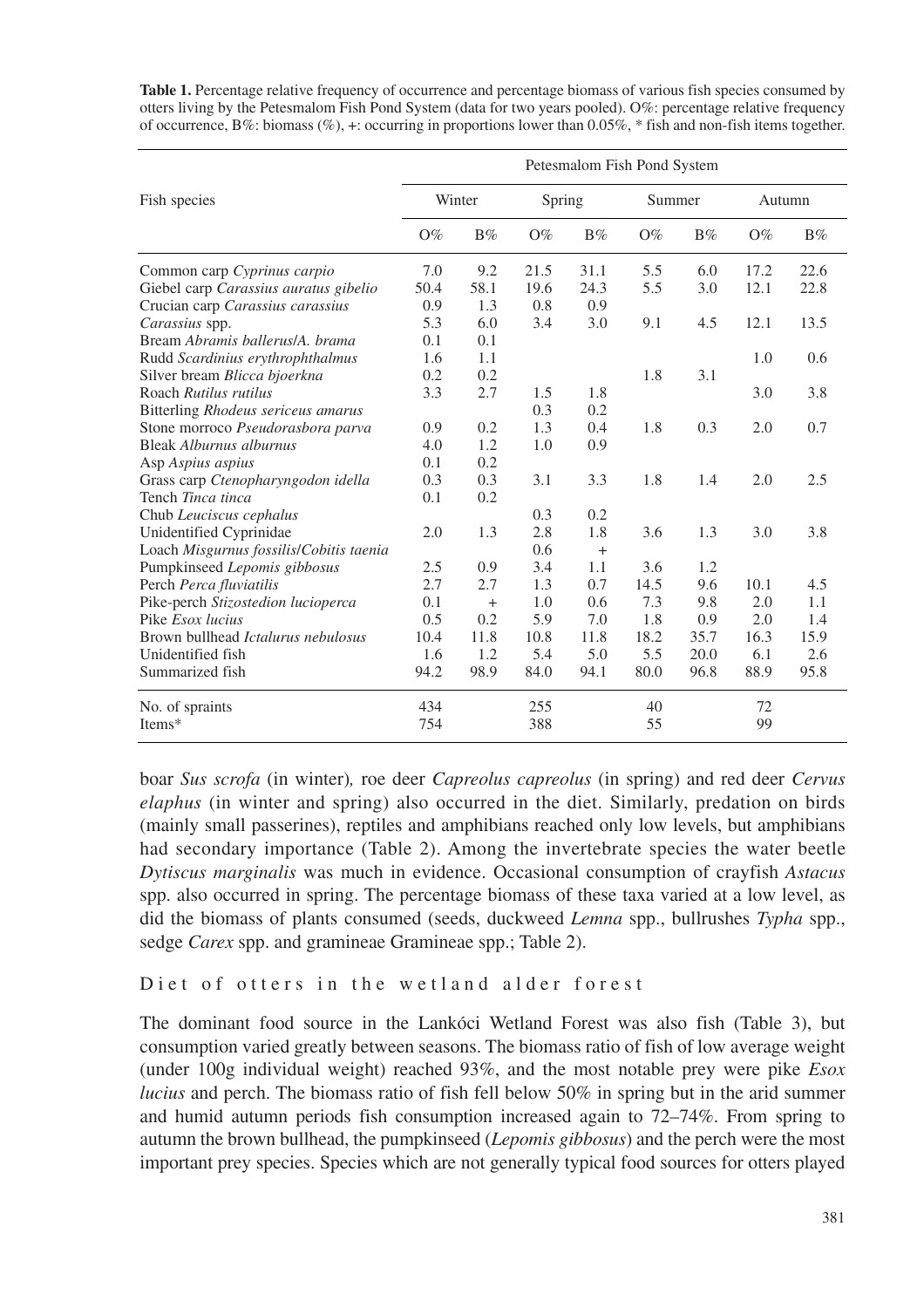|                                         | Petesmalom Fish Pond System |      |        |       |        |       |        |       |  |  |
|-----------------------------------------|-----------------------------|------|--------|-------|--------|-------|--------|-------|--|--|
| Fish species                            | Winter                      |      | Spring |       | Summer |       | Autumn |       |  |  |
|                                         | $O\%$                       | B%   | $O\%$  | $B\%$ | $O\%$  | $B\%$ | $O\%$  | $B\%$ |  |  |
| Common carp Cyprinus carpio             | 7.0                         | 9.2  | 21.5   | 31.1  | 5.5    | 6.0   | 17.2   | 22.6  |  |  |
| Giebel carp Carassius auratus gibelio   | 50.4                        | 58.1 | 19.6   | 24.3  | 5.5    | 3.0   | 12.1   | 22.8  |  |  |
| Crucian carp Carassius carassius        | 0.9                         | 1.3  | 0.8    | 0.9   |        |       |        |       |  |  |
| Carassius spp.                          | 5.3                         | 6.0  | 3.4    | 3.0   | 9.1    | 4.5   | 12.1   | 13.5  |  |  |
| Bream Abramis ballerus/A, brama         | 0.1                         | 0.1  |        |       |        |       |        |       |  |  |
| Rudd Scardinius erythrophthalmus        | 1.6                         | 1.1  |        |       |        |       | 1.0    | 0.6   |  |  |
| Silver bream Blicca bjoerkna            | 0.2                         | 0.2  |        |       | 1.8    | 3.1   |        |       |  |  |
| Roach Rutilus rutilus                   | 3.3                         | 2.7  | 1.5    | 1.8   |        |       | 3.0    | 3.8   |  |  |
| Bitterling Rhodeus sericeus amarus      |                             |      | 0.3    | 0.2   |        |       |        |       |  |  |
| Stone morroco Pseudorasbora parva       | 0.9                         | 0.2  | 1.3    | 0.4   | 1.8    | 0.3   | 2.0    | 0.7   |  |  |
| Bleak Alburnus alburnus                 | 4.0                         | 1.2  | 1.0    | 0.9   |        |       |        |       |  |  |
| Asp Aspius aspius                       | 0.1                         | 0.2  |        |       |        |       |        |       |  |  |
| Grass carp Ctenopharyngodon idella      | 0.3                         | 0.3  | 3.1    | 3.3   | 1.8    | 1.4   | 2.0    | 2.5   |  |  |
| Tench Tinca tinca                       | 0.1                         | 0.2  |        |       |        |       |        |       |  |  |
| Chub Leuciscus cephalus                 |                             |      | 0.3    | 0.2   |        |       |        |       |  |  |
| Unidentified Cyprinidae                 | 2.0                         | 1.3  | 2.8    | 1.8   | 3.6    | 1.3   | 3.0    | 3.8   |  |  |
| Loach Misgurnus fossilis/Cobitis taenia |                             |      | 0.6    | $+$   |        |       |        |       |  |  |
| Pumpkinseed Lepomis gibbosus            | 2.5                         | 0.9  | 3.4    | 1.1   | 3.6    | 1.2   |        |       |  |  |
| Perch Perca fluviatilis                 | 2.7                         | 2.7  | 1.3    | 0.7   | 14.5   | 9.6   | 10.1   | 4.5   |  |  |
| Pike-perch Stizostedion lucioperca      | 0.1                         | $+$  | 1.0    | 0.6   | 7.3    | 9.8   | 2.0    | 1.1   |  |  |
| Pike <i>Esox lucius</i>                 | 0.5                         | 0.2  | 5.9    | 7.0   | 1.8    | 0.9   | 2.0    | 1.4   |  |  |
| Brown bullhead Ictalurus nebulosus      | 10.4                        | 11.8 | 10.8   | 11.8  | 18.2   | 35.7  | 16.3   | 15.9  |  |  |
| Unidentified fish                       | 1.6                         | 1.2  | 5.4    | 5.0   | 5.5    | 20.0  | 6.1    | 2.6   |  |  |
| Summarized fish                         | 94.2                        | 98.9 | 84.0   | 94.1  | 80.0   | 96.8  | 88.9   | 95.8  |  |  |
| No. of spraints                         | 434                         |      | 255    |       | 40     |       | 72     |       |  |  |
| Items*                                  | 754                         |      | 388    |       | 55     |       | 99     |       |  |  |

**Table 1.** Percentage relative frequency of occurrence and percentage biomass of various fish species consumed by otters living by the Petesmalom Fish Pond System (data for two years pooled). O%: percentage relative frequency of occurrence, B%: biomass (%), +: occurring in proportions lower than 0.05%, \* fish and non-fish items together.

boar *Sus scrofa* (in winter)*,* roe deer *Capreolus capreolus* (in spring) and red deer *Cervus elaphus* (in winter and spring) also occurred in the diet. Similarly, predation on birds (mainly small passerines), reptiles and amphibians reached only low levels, but amphibians had secondary importance (Table 2). Among the invertebrate species the water beetle *Dytiscus marginalis* was much in evidence. Occasional consumption of crayfish *Astacus* spp. also occurred in spring. The percentage biomass of these taxa varied at a low level, as did the biomass of plants consumed (seeds, duckweed *Lemna* spp., bullrushes *Typha* spp., sedge *Carex* spp. and gramineae Gramineae spp.; Table 2).

# Diet of otters in the wetland alder forest

The dominant food source in the Lankóci Wetland Forest was also fish (Table 3), but consumption varied greatly between seasons. The biomass ratio of fish of low average weight (under 100g individual weight) reached 93%, and the most notable prey were pike *Esox lucius* and perch. The biomass ratio of fish fell below 50% in spring but in the arid summer and humid autumn periods fish consumption increased again to 72–74%. From spring to autumn the brown bullhead, the pumpkinseed (*Lepomis gibbosus*) and the perch were the most important prey species. Species which are not generally typical food sources for otters played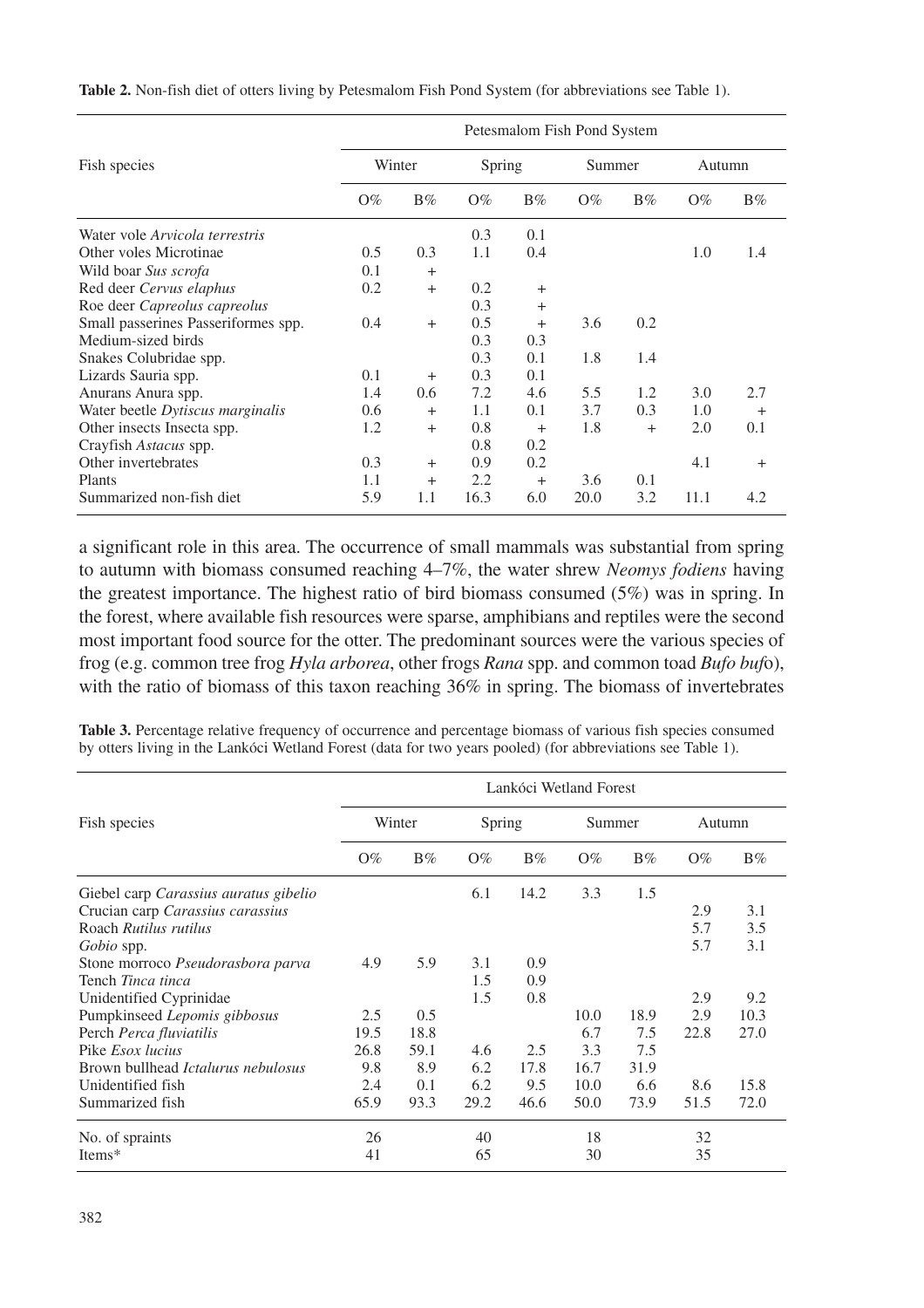|                                     | Petesmalom Fish Pond System |       |        |        |        |        |        |        |  |  |
|-------------------------------------|-----------------------------|-------|--------|--------|--------|--------|--------|--------|--|--|
| Fish species                        | Winter                      |       | Spring |        | Summer |        | Autumn |        |  |  |
|                                     | $O\%$                       | $B\%$ | $O\%$  | $B\%$  | $O\%$  | $B\%$  | $O\%$  | $B\%$  |  |  |
| Water vole Arvicola terrestris      |                             |       | 0.3    | 0.1    |        |        |        |        |  |  |
| Other voles Microtinae              | 0.5                         | 0.3   | 1.1    | 0.4    |        |        | 1.0    | 1.4    |  |  |
| Wild boar Sus scrofa                | 0.1                         | $+$   |        |        |        |        |        |        |  |  |
| Red deer Cervus elaphus             | 0.2                         | $+$   | 0.2    | $^{+}$ |        |        |        |        |  |  |
| Roe deer Capreolus capreolus        |                             |       | 0.3    | $^{+}$ |        |        |        |        |  |  |
| Small passerines Passeriformes spp. | 0.4                         | $+$   | 0.5    | $+$    | 3.6    | 0.2    |        |        |  |  |
| Medium-sized birds                  |                             |       | 0.3    | 0.3    |        |        |        |        |  |  |
| Snakes Colubridae spp.              |                             |       | 0.3    | 0.1    | 1.8    | 1.4    |        |        |  |  |
| Lizards Sauria spp.                 | 0.1                         | $+$   | 0.3    | 0.1    |        |        |        |        |  |  |
| Anurans Anura spp.                  | 1.4                         | 0.6   | 7.2    | 4.6    | 5.5    | 1.2    | 3.0    | 2.7    |  |  |
| Water beetle Dytiscus marginalis    | 0.6                         | $+$   | 1.1    | 0.1    | 3.7    | 0.3    | 1.0    | $^{+}$ |  |  |
| Other insects Insecta spp.          | 1.2                         | $+$   | 0.8    | $^{+}$ | 1.8    | $^{+}$ | 2.0    | 0.1    |  |  |
| Crayfish Astacus spp.               |                             |       | 0.8    | 0.2    |        |        |        |        |  |  |
| Other invertebrates                 | 0.3                         | $+$   | 0.9    | 0.2    |        |        | 4.1    | $^{+}$ |  |  |
| Plants                              | 1.1                         | $+$   | 2.2    | $+$    | 3.6    | 0.1    |        |        |  |  |
| Summarized non-fish diet            | 5.9                         | 1.1   | 16.3   | 6.0    | 20.0   | 3.2    | 11.1   | 4.2    |  |  |

**Table 2.** Non-fish diet of otters living by Petesmalom Fish Pond System (for abbreviations see Table 1).

a significant role in this area. The occurrence of small mammals was substantial from spring to autumn with biomass consumed reaching 4–7%, the water shrew *Neomys fodiens* having the greatest importance. The highest ratio of bird biomass consumed (5%) was in spring. In the forest, where available fish resources were sparse, amphibians and reptiles were the second most important food source for the otter. The predominant sources were the various species of frog (e.g. common tree frog *Hyla arborea*, other frogs *Rana* spp. and common toad *Bufo buf*o), with the ratio of biomass of this taxon reaching 36% in spring. The biomass of invertebrates

Table 3. Percentage relative frequency of occurrence and percentage biomass of various fish species consumed by otters living in the Lankóci Wetland Forest (data for two years pooled) (for abbreviations see Table 1).

|                                           | Lankóci Wetland Forest |       |        |       |        |       |        |       |  |  |
|-------------------------------------------|------------------------|-------|--------|-------|--------|-------|--------|-------|--|--|
| Fish species                              | Winter                 |       | Spring |       | Summer |       | Autumn |       |  |  |
|                                           | $O\%$                  | $B\%$ | $O\%$  | $B\%$ | $O\%$  | $B\%$ | $O\%$  | $B\%$ |  |  |
| Giebel carp Carassius auratus gibelio     |                        |       | 6.1    | 14.2  | 3.3    | 1.5   |        |       |  |  |
| Crucian carp Carassius carassius          |                        |       |        |       |        |       | 2.9    | 3.1   |  |  |
| Roach Rutilus rutilus                     |                        |       |        |       |        |       | 5.7    | 3.5   |  |  |
| Gobio spp.                                |                        |       |        |       |        |       | 5.7    | 3.1   |  |  |
| Stone morroco Pseudorasbora parva         | 4.9                    | 5.9   | 3.1    | 0.9   |        |       |        |       |  |  |
| Tench Tinca tinca                         |                        |       | 1.5    | 0.9   |        |       |        |       |  |  |
| Unidentified Cyprinidae                   |                        |       | 1.5    | 0.8   |        |       | 2.9    | 9.2   |  |  |
| Pumpkinseed Lepomis gibbosus              | 2.5                    | 0.5   |        |       | 10.0   | 18.9  | 2.9    | 10.3  |  |  |
| Perch Perca fluviatilis                   | 19.5                   | 18.8  |        |       | 6.7    | 7.5   | 22.8   | 27.0  |  |  |
| Pike <i>Esox lucius</i>                   | 26.8                   | 59.1  | 4.6    | 2.5   | 3.3    | 7.5   |        |       |  |  |
| Brown bullhead <i>Ictalurus nebulosus</i> | 9.8                    | 8.9   | 6.2    | 17.8  | 16.7   | 31.9  |        |       |  |  |
| Unidentified fish                         | 2.4                    | 0.1   | 6.2    | 9.5   | 10.0   | 6.6   | 8.6    | 15.8  |  |  |
| Summarized fish                           | 65.9                   | 93.3  | 29.2   | 46.6  | 50.0   | 73.9  | 51.5   | 72.0  |  |  |
| No. of spraints                           | 26                     |       | 40     |       | 18     |       | 32     |       |  |  |
| Items*                                    | 41                     |       | 65     |       | 30     |       | 35     |       |  |  |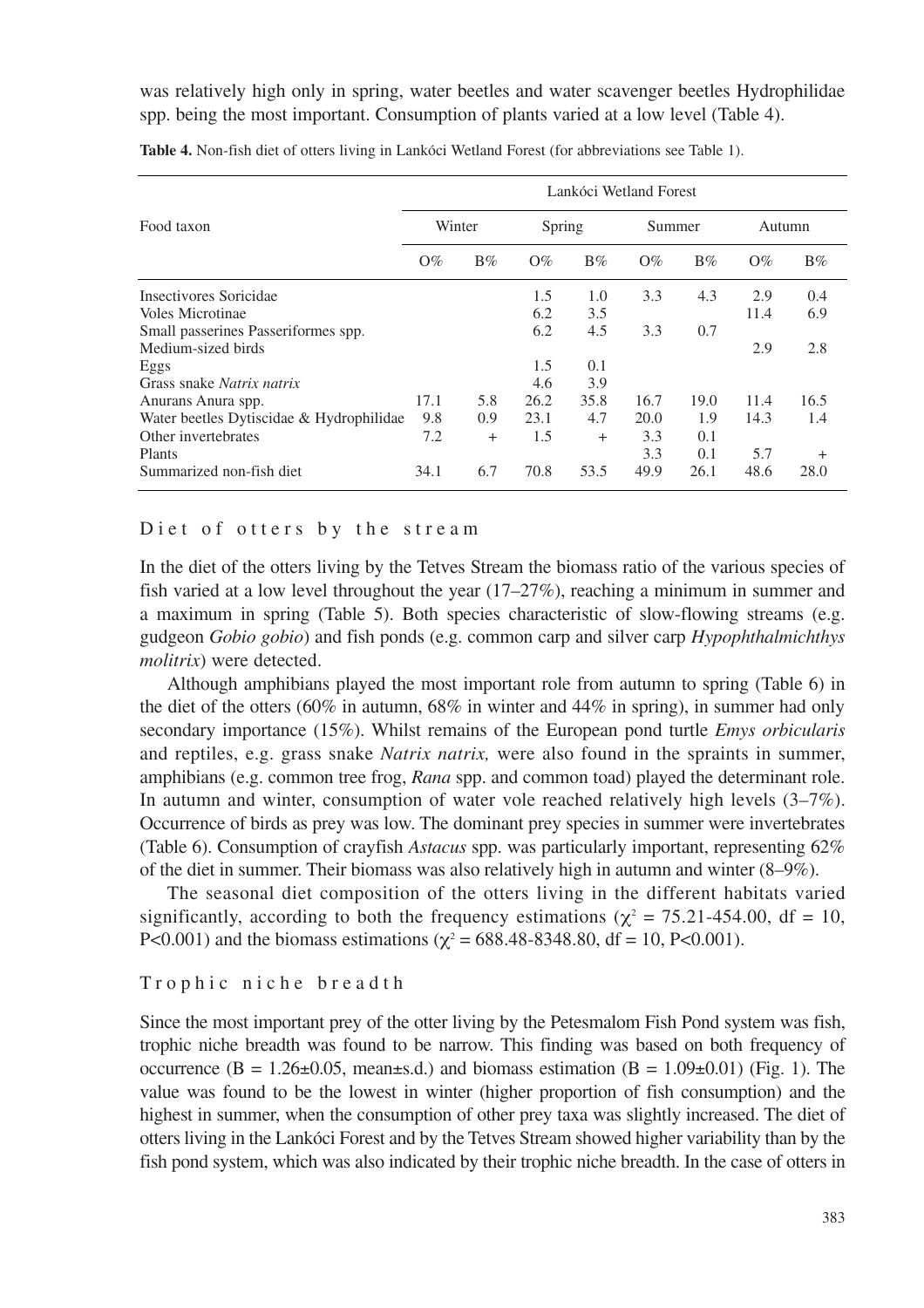was relatively high only in spring, water beetles and water scavenger beetles Hydrophilidae spp. being the most important. Consumption of plants varied at a low level (Table 4).

| Food taxon                               | Lankóci Wetland Forest |           |        |       |        |       |        |        |  |  |  |
|------------------------------------------|------------------------|-----------|--------|-------|--------|-------|--------|--------|--|--|--|
|                                          | Winter                 |           | Spring |       | Summer |       | Autumn |        |  |  |  |
|                                          | $O\%$                  | $B\%$     | $O\%$  | $B\%$ | $O\%$  | $B\%$ | $O\%$  | $B\%$  |  |  |  |
| Insectivores Soricidae                   |                        |           | 1.5    | 1.0   | 3.3    | 4.3   | 2.9    | 0.4    |  |  |  |
| Voles Microtinae                         |                        |           | 6.2    | 3.5   |        |       | 11.4   | 6.9    |  |  |  |
| Small passerines Passeriformes spp.      |                        |           | 6.2    | 4.5   | 3.3    | 0.7   |        |        |  |  |  |
| Medium-sized birds                       |                        |           |        |       |        |       | 2.9    | 2.8    |  |  |  |
| Eggs                                     |                        |           | 1.5    | 0.1   |        |       |        |        |  |  |  |
| Grass snake <i>Natrix natrix</i>         |                        |           | 4.6    | 3.9   |        |       |        |        |  |  |  |
| Anurans Anura spp.                       | 17.1                   | 5.8       | 26.2   | 35.8  | 16.7   | 19.0  | 11.4   | 16.5   |  |  |  |
| Water beetles Dytiscidae & Hydrophilidae | 9.8                    | 0.9       | 23.1   | 4.7   | 20.0   | 1.9   | 14.3   | 1.4    |  |  |  |
| Other invertebrates                      | 7.2                    | $\ddot{}$ | 1.5    | $+$   | 3.3    | 0.1   |        |        |  |  |  |
| Plants                                   |                        |           |        |       | 3.3    | 0.1   | 5.7    | $^{+}$ |  |  |  |
| Summarized non-fish diet                 | 34.1                   | 6.7       | 70.8   | 53.5  | 49.9   | 26.1  | 48.6   | 28.0   |  |  |  |

**Table 4.** Non-fish diet of otters living in Lankóci Wetland Forest (for abbreviations see Table 1).

### Diet of otters by the stream

In the diet of the otters living by the Tetves Stream the biomass ratio of the various species of fish varied at a low level throughout the year (17–27%), reaching a minimum in summer and a maximum in spring (Table 5). Both species characteristic of slow-flowing streams (e.g. gudgeon *Gobio gobio*) and fish ponds (e.g. common carp and silver carp *Hypophthalmichthys molitrix*) were detected.

Although amphibians played the most important role from autumn to spring (Table 6) in the diet of the otters (60% in autumn, 68% in winter and 44% in spring), in summer had only secondary importance (15%). Whilst remains of the European pond turtle *Emys orbicularis* and reptiles, e.g. grass snake *Natrix natrix,* were also found in the spraints in summer, amphibians (e.g. common tree frog, *Rana* spp. and common toad) played the determinant role. In autumn and winter, consumption of water vole reached relatively high levels (3–7%). Occurrence of birds as prey was low. The dominant prey species in summer were invertebrates (Table 6). Consumption of crayfish *Astacus* spp. was particularly important, representing 62% of the diet in summer. Their biomass was also relatively high in autumn and winter (8–9%).

The seasonal diet composition of the otters living in the different habitats varied significantly, according to both the frequency estimations ( $\chi^2 = 75.21-454.00$ , df = 10, P<0.001) and the biomass estimations ( $\chi^2$  = 688.48-8348.80, df = 10, P<0.001).

### Trophic niche breadth

Since the most important prey of the otter living by the Petesmalom Fish Pond system was fish, trophic niche breadth was found to be narrow. This finding was based on both frequency of occurrence ( $B = 1.26 \pm 0.05$ , mean $\pm$ s.d.) and biomass estimation ( $B = 1.09 \pm 0.01$ ) (Fig. 1). The value was found to be the lowest in winter (higher proportion of fish consumption) and the highest in summer, when the consumption of other prey taxa was slightly increased. The diet of otters living in the Lankóci Forest and by the Tetves Stream showed higher variability than by the fish pond system, which was also indicated by their trophic niche breadth. In the case of otters in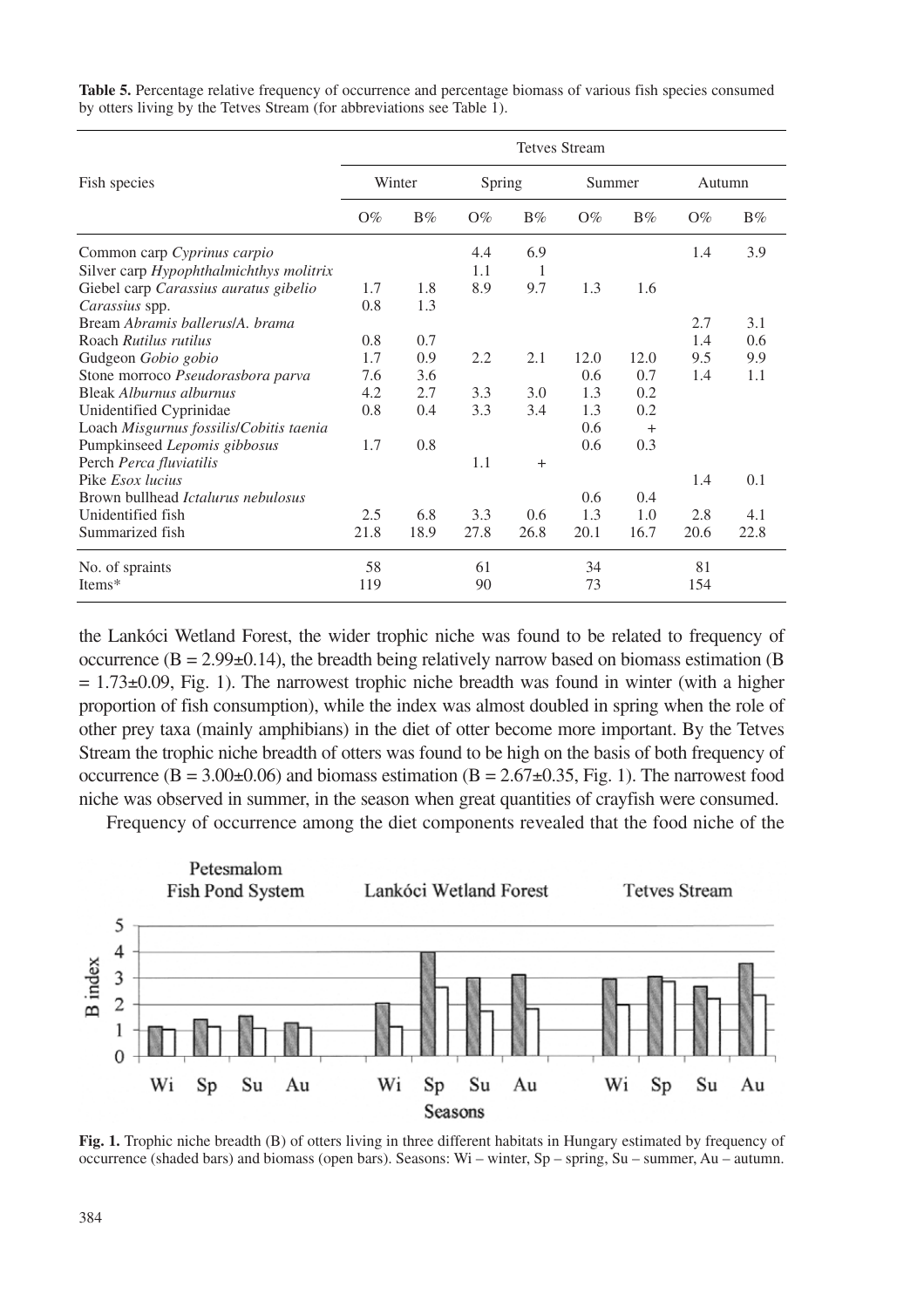|                                           | <b>Tetves Stream</b> |       |        |       |        |        |        |       |  |  |
|-------------------------------------------|----------------------|-------|--------|-------|--------|--------|--------|-------|--|--|
| Fish species                              | Winter               |       | Spring |       | Summer |        | Autumn |       |  |  |
|                                           | $O\%$                | $B\%$ | $O\%$  | $B\%$ | $O\%$  | $B\%$  | $O\%$  | $B\%$ |  |  |
| Common carp Cyprinus carpio               |                      |       | 4.4    | 6.9   |        |        | 1.4    | 3.9   |  |  |
| Silver carp Hypophthalmichthys molitrix   |                      |       | 1.1    | 1     |        |        |        |       |  |  |
| Giebel carp Carassius auratus gibelio     | 1.7                  | 1.8   | 8.9    | 9.7   | 1.3    | 1.6    |        |       |  |  |
| Carassius spp.                            | 0.8                  | 1.3   |        |       |        |        |        |       |  |  |
| Bream Abramis ballerus/A. brama           |                      |       |        |       |        |        | 2.7    | 3.1   |  |  |
| Roach Rutilus rutilus                     | 0.8                  | 0.7   |        |       |        |        | 1.4    | 0.6   |  |  |
| Gudgeon Gobio gobio                       | 1.7                  | 0.9   | 2.2    | 2.1   | 12.0   | 12.0   | 9.5    | 9.9   |  |  |
| Stone morroco Pseudorasbora parva         | 7.6                  | 3.6   |        |       | 0.6    | 0.7    | 1.4    | 1.1   |  |  |
| Bleak Alburnus alburnus                   | 4.2                  | 2.7   | 3.3    | 3.0   | 1.3    | 0.2    |        |       |  |  |
| Unidentified Cyprinidae                   | 0.8                  | 0.4   | 3.3    | 3.4   | 1.3    | 0.2    |        |       |  |  |
| Loach Misgurnus fossilis/Cobitis taenia   |                      |       |        |       | 0.6    | $^{+}$ |        |       |  |  |
| Pumpkinseed Lepomis gibbosus              | 1.7                  | 0.8   |        |       | 0.6    | 0.3    |        |       |  |  |
| Perch Perca fluviatilis                   |                      |       | 1.1    | $+$   |        |        |        |       |  |  |
| Pike <i>Esox lucius</i>                   |                      |       |        |       |        |        | 1.4    | 0.1   |  |  |
| Brown bullhead <i>Ictalurus nebulosus</i> |                      |       |        |       | 0.6    | 0.4    |        |       |  |  |
| Unidentified fish                         | 2.5                  | 6.8   | 3.3    | 0.6   | 1.3    | 1.0    | 2.8    | 4.1   |  |  |
| Summarized fish                           | 21.8                 | 18.9  | 27.8   | 26.8  | 20.1   | 16.7   | 20.6   | 22.8  |  |  |
| No. of spraints                           | 58                   |       | 61     |       | 34     |        | 81     |       |  |  |
| Items*                                    | 119                  |       | 90     |       | 73     |        | 154    |       |  |  |

Table 5. Percentage relative frequency of occurrence and percentage biomass of various fish species consumed by otters living by the Tetves Stream (for abbreviations see Table 1).

the Lankóci Wetland Forest, the wider trophic niche was found to be related to frequency of occurrence  $(B = 2.99 \pm 0.14)$ , the breadth being relatively narrow based on biomass estimation (B)  $= 1.73\pm0.09$ , Fig. 1). The narrowest trophic niche breadth was found in winter (with a higher proportion of fish consumption), while the index was almost doubled in spring when the role of other prey taxa (mainly amphibians) in the diet of otter become more important. By the Tetves Stream the trophic niche breadth of otters was found to be high on the basis of both frequency of occurrence  $(B = 3.00\pm 0.06)$  and biomass estimation  $(B = 2.67\pm 0.35)$ , Fig. 1). The narrowest food niche was observed in summer, in the season when great quantities of crayfish were consumed.

Frequency of occurrence among the diet components revealed that the food niche of the



**Fig. 1.** Trophic niche breadth (B) of otters living in three different habitats in Hungary estimated by frequency of occurrence (shaded bars) and biomass (open bars). Seasons: Wi – winter, Sp – spring, Su – summer, Au – autumn.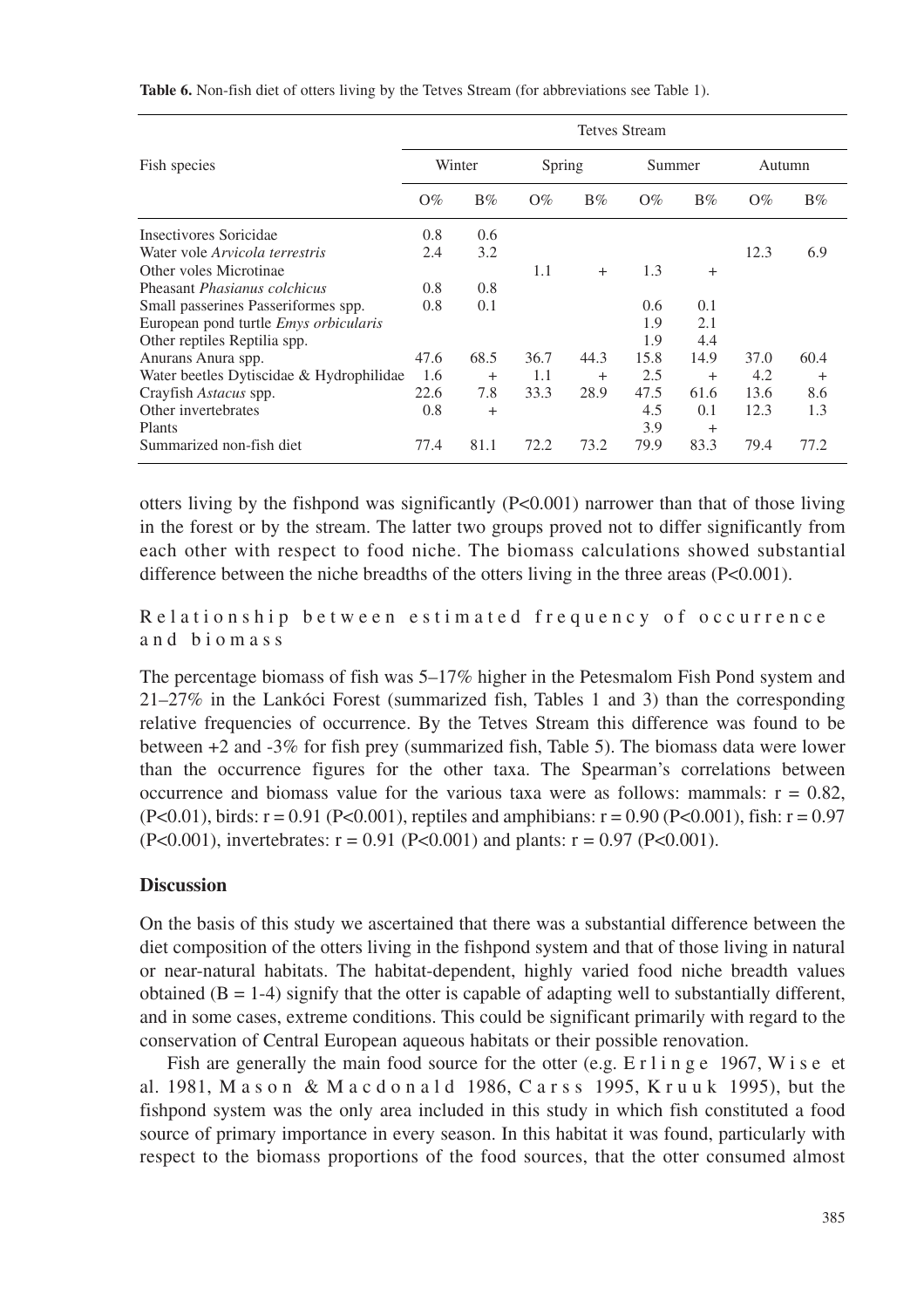|                                              | <b>Tetves Stream</b> |           |        |           |        |           |        |       |  |  |
|----------------------------------------------|----------------------|-----------|--------|-----------|--------|-----------|--------|-------|--|--|
| Fish species                                 | Winter               |           | Spring |           | Summer |           | Autumn |       |  |  |
|                                              | $O\%$                | $B\%$     | $O\%$  | $B\%$     | $O\%$  | $B\%$     | $O\%$  | $B\%$ |  |  |
| Insectivores Soricidae                       | 0.8                  | 0.6       |        |           |        |           |        |       |  |  |
| Water vole Arvicola terrestris               | 2.4                  | 3.2       |        |           |        |           | 12.3   | 6.9   |  |  |
| Other voles Microtinae                       |                      |           | 1.1    | $^{+}$    | 1.3    | $\ddot{}$ |        |       |  |  |
| Pheasant <i>Phasianus colchicus</i>          | 0.8                  | 0.8       |        |           |        |           |        |       |  |  |
| Small passerines Passeriformes spp.          | 0.8                  | 0.1       |        |           | 0.6    | 0.1       |        |       |  |  |
| European pond turtle <i>Emys orbicularis</i> |                      |           |        |           | 1.9    | 2.1       |        |       |  |  |
| Other reptiles Reptilia spp.                 |                      |           |        |           | 1.9    | 4.4       |        |       |  |  |
| Anurans Anura spp.                           | 47.6                 | 68.5      | 36.7   | 44.3      | 15.8   | 14.9      | 37.0   | 60.4  |  |  |
| Water beetles Dytiscidae & Hydrophilidae     | 1.6                  | $\ddot{}$ | 1.1    | $\ddot{}$ | 2.5    | $\ddot{}$ | 4.2    | $+$   |  |  |
| Crayfish Astacus spp.                        | 22.6                 | 7.8       | 33.3   | 28.9      | 47.5   | 61.6      | 13.6   | 8.6   |  |  |
| Other invertebrates                          | 0.8                  | $\ddot{}$ |        |           | 4.5    | 0.1       | 12.3   | 1.3   |  |  |
| Plants                                       |                      |           |        |           | 3.9    | $^{+}$    |        |       |  |  |
| Summarized non-fish diet                     | 77.4                 | 81.1      | 72.2   | 73.2      | 79.9   | 83.3      | 79.4   | 77.2  |  |  |

**Table 6.** Non-fish diet of otters living by the Tetves Stream (for abbreviations see Table 1).

otters living by the fishpond was significantly (P<0.001) narrower than that of those living in the forest or by the stream. The latter two groups proved not to differ significantly from each other with respect to food niche. The biomass calculations showed substantial difference between the niche breadths of the otters living in the three areas (P<0.001).

Relationship between estimated frequency of occurrence and biomass

The percentage biomass of fish was 5–17% higher in the Petesmalom Fish Pond system and 21–27% in the Lankóci Forest (summarized fish, Tables 1 and 3) than the corresponding relative frequencies of occurrence. By the Tetves Stream this difference was found to be between +2 and -3% for fish prey (summarized fish, Table 5). The biomass data were lower than the occurrence figures for the other taxa. The Spearman's correlations between occurrence and biomass value for the various taxa were as follows: mammals:  $r = 0.82$ .  $(P<0.01)$ , birds: r = 0.91 (P<0.001), reptiles and amphibians: r = 0.90 (P<0.001), fish: r = 0.97  $(P<0.001)$ , invertebrates:  $r = 0.91$   $(P<0.001)$  and plants:  $r = 0.97$   $(P<0.001)$ .

### **Discussion**

On the basis of this study we ascertained that there was a substantial difference between the diet composition of the otters living in the fishpond system and that of those living in natural or near-natural habitats. The habitat-dependent, highly varied food niche breadth values obtained  $(B = 1-4)$  signify that the otter is capable of adapting well to substantially different, and in some cases, extreme conditions. This could be significant primarily with regard to the conservation of Central European aqueous habitats or their possible renovation.

Fish are generally the main food source for the otter (e.g.  $E \rceil \ln g e \rceil$  1967, W i s e et al. 1981, M a s o n & M a c d o n a 1d 1986, C a r s s 1995, K r u u k 1995), but the fishpond system was the only area included in this study in which fish constituted a food source of primary importance in every season. In this habitat it was found, particularly with respect to the biomass proportions of the food sources, that the otter consumed almost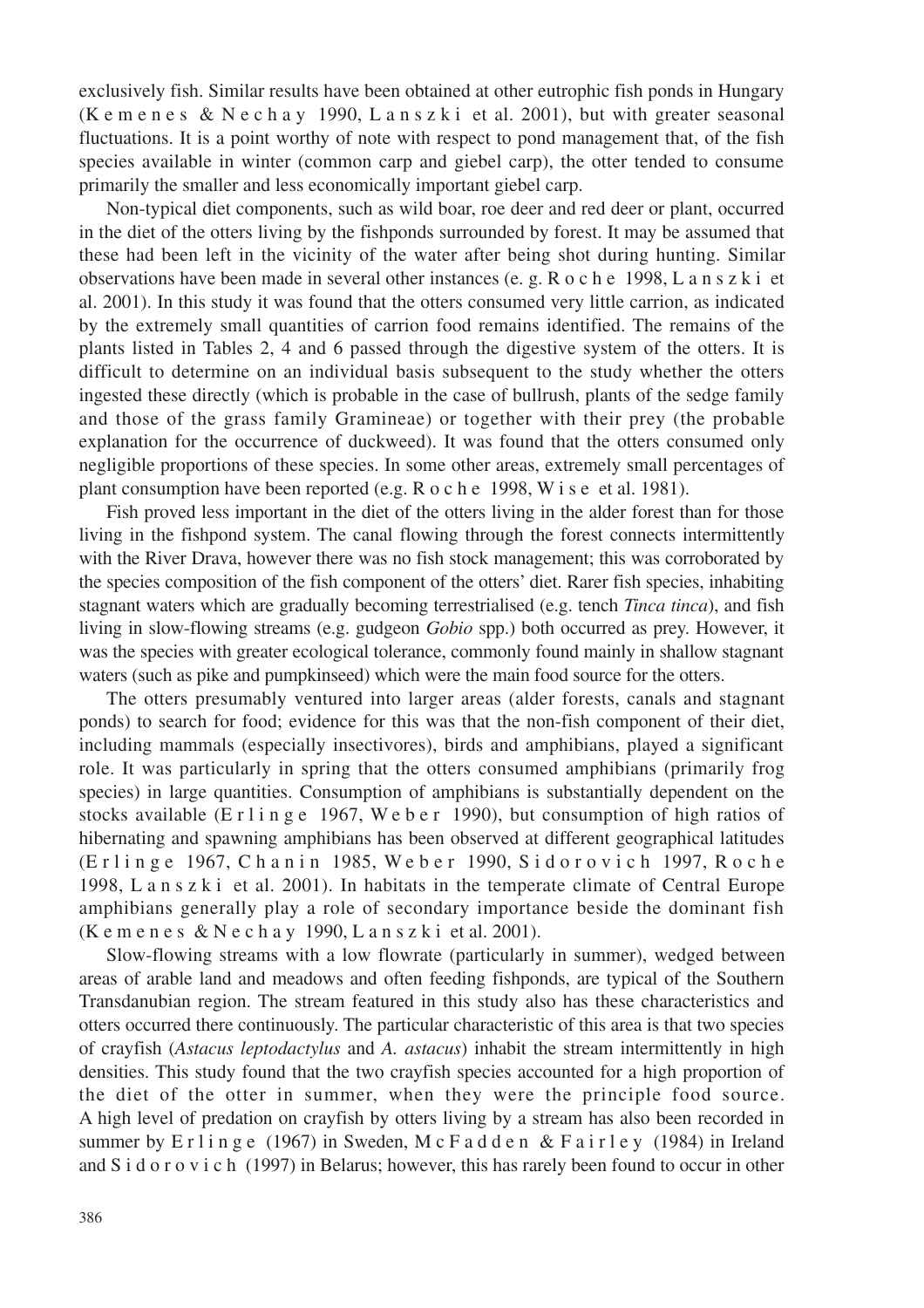exclusively fish. Similar results have been obtained at other eutrophic fish ponds in Hungary (K e m e n e s & N e c h a y 1990, L a n s z k i et al. 2001), but with greater seasonal fluctuations. It is a point worthy of note with respect to pond management that, of the fish species available in winter (common carp and giebel carp), the otter tended to consume primarily the smaller and less economically important giebel carp.

Non-typical diet components, such as wild boar, roe deer and red deer or plant, occurred in the diet of the otters living by the fishponds surrounded by forest. It may be assumed that these had been left in the vicinity of the water after being shot during hunting. Similar observations have been made in several other instances (e. g. Roche 1998, L a n s z k i et al. 2001). In this study it was found that the otters consumed very little carrion, as indicated by the extremely small quantities of carrion food remains identified. The remains of the plants listed in Tables 2, 4 and 6 passed through the digestive system of the otters. It is difficult to determine on an individual basis subsequent to the study whether the otters ingested these directly (which is probable in the case of bullrush, plants of the sedge family and those of the grass family Gramineae) or together with their prey (the probable explanation for the occurrence of duckweed). It was found that the otters consumed only negligible proportions of these species. In some other areas, extremely small percentages of plant consumption have been reported (e.g. Roche 1998, W i s e et al. 1981).

Fish proved less important in the diet of the otters living in the alder forest than for those living in the fishpond system. The canal flowing through the forest connects intermittently with the River Drava, however there was no fish stock management; this was corroborated by the species composition of the fish component of the otters' diet. Rarer fish species, inhabiting stagnant waters which are gradually becoming terrestrialised (e.g. tench *Tinca tinca*), and fish living in slow-flowing streams (e.g. gudgeon *Gobio* spp.) both occurred as prey. However, it was the species with greater ecological tolerance, commonly found mainly in shallow stagnant waters (such as pike and pumpkinseed) which were the main food source for the otters.

The otters presumably ventured into larger areas (alder forests, canals and stagnant ponds) to search for food; evidence for this was that the non-fish component of their diet, including mammals (especially insectivores), birds and amphibians, played a significant role. It was particularly in spring that the otters consumed amphibians (primarily frog species) in large quantities. Consumption of amphibians is substantially dependent on the stocks available (Erlinge 1967, W eber 1990), but consumption of high ratios of hibernating and spawning amphibians has been observed at different geographical latitudes (Erlinge 1967, Chanin 1985, Weber 1990, Sidorovich 1997, Roche 1998,  $L$  a n s  $z$  k i et al. 2001). In habitats in the temperate climate of Central Europe amphibians generally play a role of secondary importance beside the dominant fish (K e m e n e s & N e c h a y 1990, L a n s z k i et al. 2001).

Slow-flowing streams with a low flowrate (particularly in summer), wedged between areas of arable land and meadows and often feeding fishponds, are typical of the Southern Transdanubian region. The stream featured in this study also has these characteristics and otters occurred there continuously. The particular characteristic of this area is that two species of crayfish (*Astacus leptodactylus* and *A. astacus*) inhabit the stream intermittently in high densities. This study found that the two crayfish species accounted for a high proportion of the diet of the otter in summer, when they were the principle food source. A high level of predation on crayfish by otters living by a stream has also been recorded in summer by  $E \rightharpoonup I$  in g e (1967) in Sweden, M c F a d d e n & F a i r l e y (1984) in Ireland and S i d  $o \, r \, o \, v$  i c h (1997) in Belarus; however, this has rarely been found to occur in other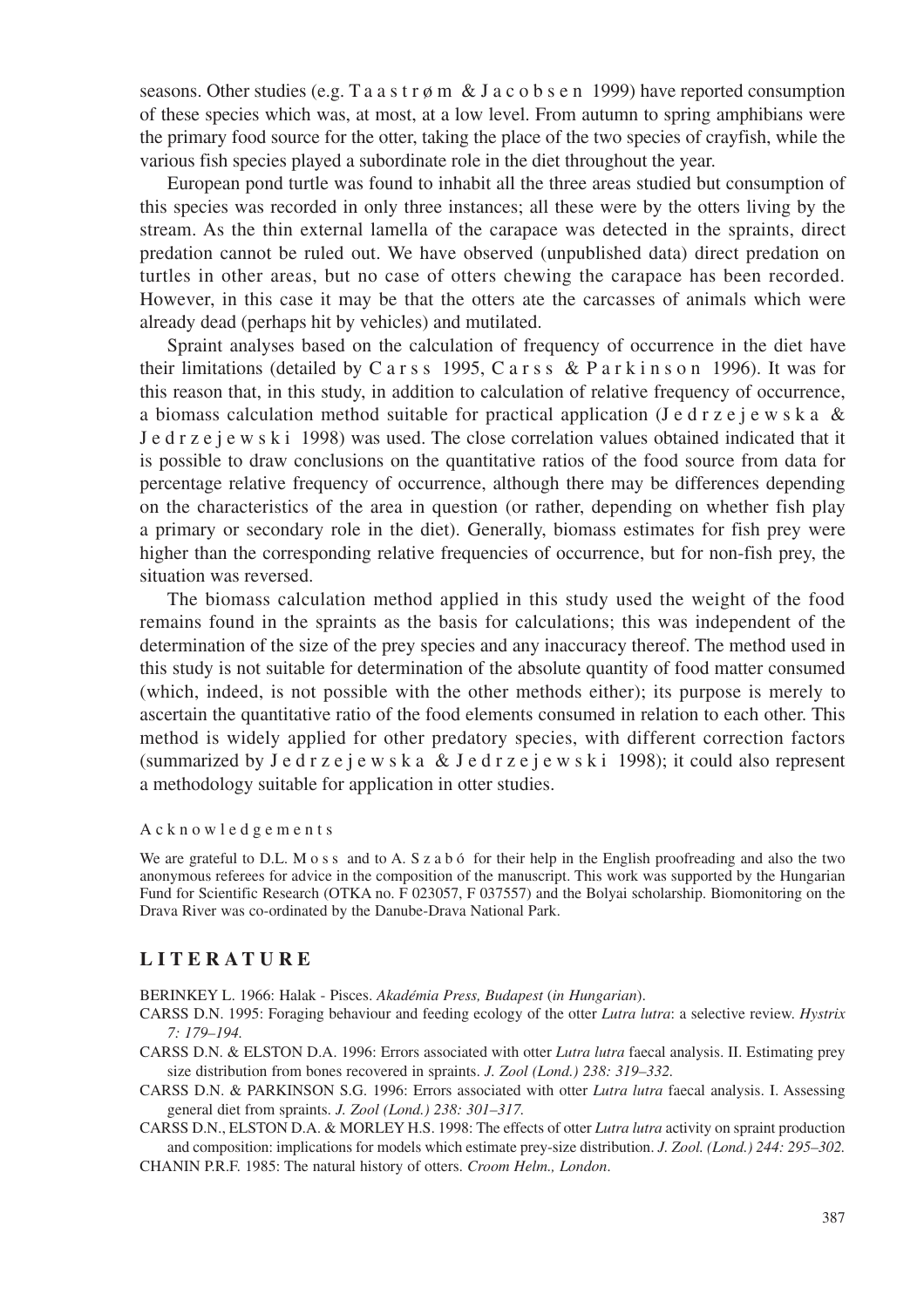seasons. Other studies (e.g. T a a s t r  $\phi$  m & J a c o b s e n 1999) have reported consumption of these species which was, at most, at a low level. From autumn to spring amphibians were the primary food source for the otter, taking the place of the two species of crayfish, while the various fish species played a subordinate role in the diet throughout the year.

European pond turtle was found to inhabit all the three areas studied but consumption of this species was recorded in only three instances; all these were by the otters living by the stream. As the thin external lamella of the carapace was detected in the spraints, direct predation cannot be ruled out. We have observed (unpublished data) direct predation on turtles in other areas, but no case of otters chewing the carapace has been recorded. However, in this case it may be that the otters ate the carcasses of animals which were already dead (perhaps hit by vehicles) and mutilated.

Spraint analyses based on the calculation of frequency of occurrence in the diet have their limitations (detailed by Carss 1995, C a r s s & P a r k i n s o n 1996). It was for this reason that, in this study, in addition to calculation of relative frequency of occurrence, a biomass calculation method suitable for practical application (Jedrzejewska & Jedrzejewski 1998) was used. The close correlation values obtained indicated that it is possible to draw conclusions on the quantitative ratios of the food source from data for percentage relative frequency of occurrence, although there may be differences depending on the characteristics of the area in question (or rather, depending on whether fish play a primary or secondary role in the diet). Generally, biomass estimates for fish prey were higher than the corresponding relative frequencies of occurrence, but for non-fish prey, the situation was reversed.

The biomass calculation method applied in this study used the weight of the food remains found in the spraints as the basis for calculations; this was independent of the determination of the size of the prey species and any inaccuracy thereof. The method used in this study is not suitable for determination of the absolute quantity of food matter consumed (which, indeed, is not possible with the other methods either); its purpose is merely to ascertain the quantitative ratio of the food elements consumed in relation to each other. This method is widely applied for other predatory species, with different correction factors (summarized by J e d r z e j e w s k a  $&$  J e d r z e j e w s k i 1998); it could also represent a methodology suitable for application in otter studies.

#### Acknowledgements

We are grateful to D.L. M o s s and to A. S z a b ó for their help in the English proofreading and also the two anonymous referees for advice in the composition of the manuscript. This work was supported by the Hungarian Fund for Scientific Research (OTKA no. F 023057, F 037557) and the Bolyai scholarship. Biomonitoring on the Drava River was co-ordinated by the Danube-Drava National Park.

### **LITERATURE**

BERINKEY L. 1966: Halak - Pisces. *Akadémia Press, Budapest* (*in Hungarian*).

- CARSS D.N. 1995: Foraging behaviour and feeding ecology of the otter *Lutra lutra*: a selective review. *Hystrix 7: 179–194.*
- CARSS D.N. & ELSTON D.A. 1996: Errors associated with otter *Lutra lutra* faecal analysis. II. Estimating prey size distribution from bones recovered in spraints. *J. Zool (Lond.) 238: 319–332.*
- CARSS D.N. & PARKINSON S.G. 1996: Errors associated with otter *Lutra lutra* faecal analysis. I. Assessing general diet from spraints. *J. Zool (Lond.) 238: 301–317.*

CARSS D.N., ELSTON D.A. & MORLEY H.S. 1998: The effects of otter *Lutra lutra* activity on spraint production and composition: implications for models which estimate prey-size distribution. *J. Zool. (Lond.) 244: 295–302.* CHANIN P.R.F. 1985: The natural history of otters. *Croom Helm., London*.